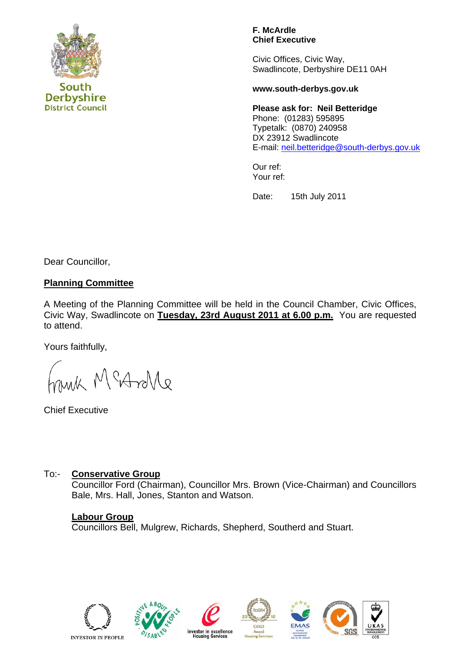

**District Council** 

**Derbyshire** 

**F. McArdle Chief Executive** 

Civic Offices, Civic Way, Swadlincote, Derbyshire DE11 0AH

#### **www.south-derbys.gov.uk**

**Please ask for: Neil Betteridge**  Phone: (01283) 595895 Typetalk: (0870) 240958 DX 23912 Swadlincote E-mail: [neil.betteridge@south-derbys.gov.uk](mailto:neil.betteridge@south-derbys.gov.uk)

Our ref: Your ref:

Date: 15th July 2011

Dear Councillor,

## **Planning Committee**

A Meeting of the Planning Committee will be held in the Council Chamber, Civic Offices, Civic Way, Swadlincote on **Tuesday, 23rd August 2011 at 6.00 p.m.** You are requested to attend.

Yours faithfully,

M MeAnle

Chief Executive

## To:- **Conservative Group**

Councillor Ford (Chairman), Councillor Mrs. Brown (Vice-Chairman) and Councillors Bale, Mrs. Hall, Jones, Stanton and Watson.

## **Labour Group**

Councillors Bell, Mulgrew, Richards, Shepherd, Southerd and Stuart.